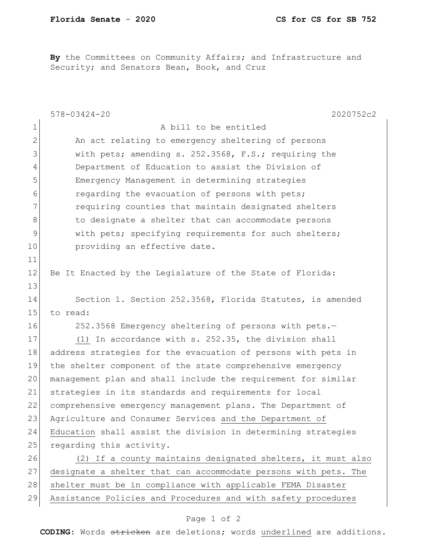By the Committees on Community Affairs; and Infrastructure and Security; and Senators Bean, Book, and Cruz

|              | $578 - 03424 - 20$<br>2020752c2                                 |
|--------------|-----------------------------------------------------------------|
| $\mathbf 1$  | A bill to be entitled                                           |
| $\mathbf{2}$ | An act relating to emergency sheltering of persons              |
| 3            | with pets; amending s. 252.3568, F.S.; requiring the            |
| 4            | Department of Education to assist the Division of               |
| 5            | Emergency Management in determining strategies                  |
| 6            | regarding the evacuation of persons with pets;                  |
| 7            | requiring counties that maintain designated shelters            |
| 8            | to designate a shelter that can accommodate persons             |
| 9            | with pets; specifying requirements for such shelters;           |
| 10           | providing an effective date.                                    |
| 11           |                                                                 |
| 12           | Be It Enacted by the Legislature of the State of Florida:       |
| 13           |                                                                 |
| 14           | Section 1. Section 252.3568, Florida Statutes, is amended       |
| 15           | to read:                                                        |
| 16           | 252.3568 Emergency sheltering of persons with pets.-            |
| 17           | (1) In accordance with s. 252.35, the division shall            |
| 18           | address strategies for the evacuation of persons with pets in   |
| 19           | the shelter component of the state comprehensive emergency      |
| 20           | management plan and shall include the requirement for similar   |
| 21           | strategies in its standards and requirements for local          |
| 22           | comprehensive emergency management plans. The Department of     |
| 23           | Agriculture and Consumer Services and the Department of         |
| 24           | Education shall assist the division in determining strategies   |
| 25           | regarding this activity.                                        |
| 26           | (2) If a county maintains designated shelters, it must also     |
| 27           | designate a shelter that can accommodate persons with pets. The |
| 28           | shelter must be in compliance with applicable FEMA Disaster     |
| 29           | Assistance Policies and Procedures and with safety procedures   |

## Page 1 of 2

**CODING**: Words stricken are deletions; words underlined are additions.